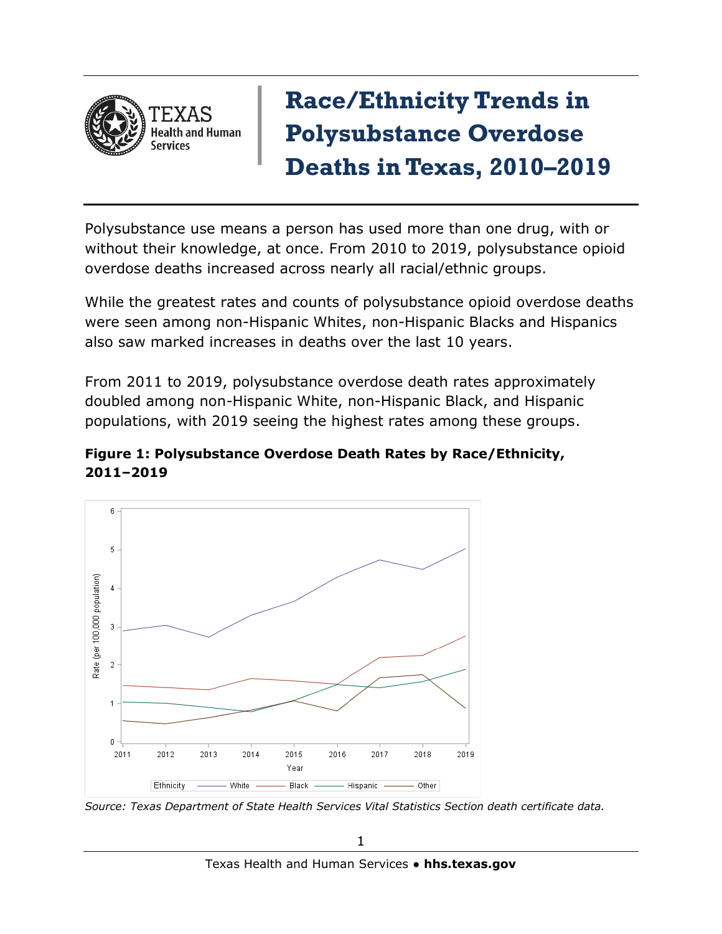

## **Race/Ethnicity Trends in Polysubstance Overdose Deaths in Texas, 2010–2019**

Polysubstance use means a person has used more than one drug, with or without their knowledge, at once. From 2010 to 2019, polysubstance opioid overdose deaths increased across nearly all racial/ethnic groups.

While the greatest rates and counts of polysubstance opioid overdose deaths were seen among non-Hispanic Whites, non-Hispanic Blacks and Hispanics also saw marked increases in deaths over the last 10 years.

From 2011 to 2019, polysubstance overdose death rates approximately doubled among non-Hispanic White, non-Hispanic Black, and Hispanic populations, with 2019 seeing the highest rates among these groups.





*Source: Texas Department of State Health Services Vital Statistics Section death certificate data.*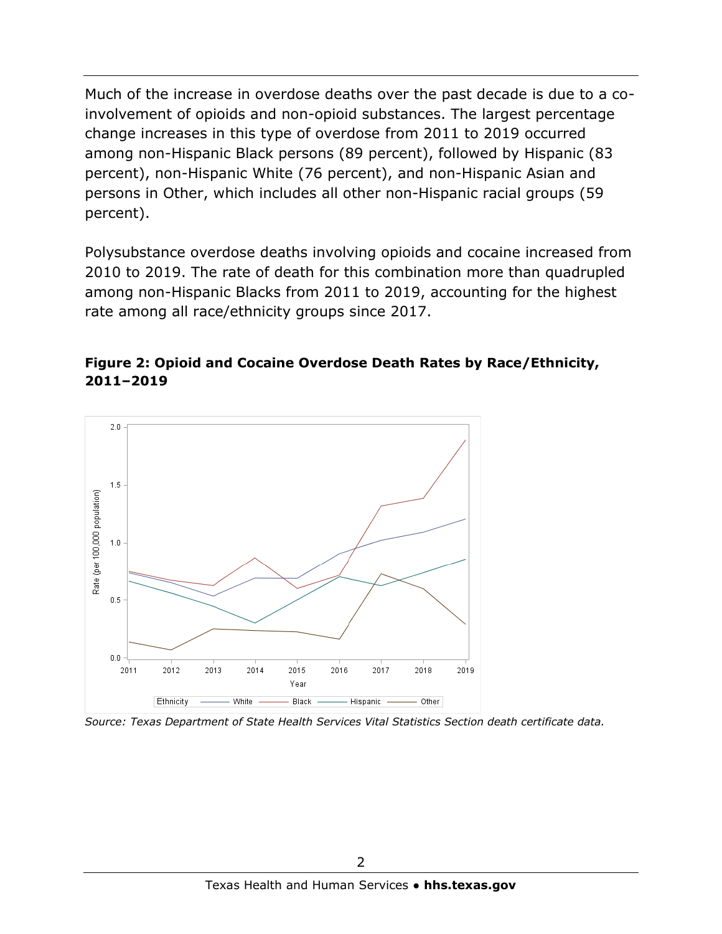Much of the increase in overdose deaths over the past decade is due to a coinvolvement of opioids and non-opioid substances. The largest percentage change increases in this type of overdose from 2011 to 2019 occurred among non-Hispanic Black persons (89 percent), followed by Hispanic (83 percent), non-Hispanic White (76 percent), and non-Hispanic Asian and persons in Other, which includes all other non-Hispanic racial groups (59 percent).

Polysubstance overdose deaths involving opioids and cocaine increased from 2010 to 2019. The rate of death for this combination more than quadrupled among non-Hispanic Blacks from 2011 to 2019, accounting for the highest rate among all race/ethnicity groups since 2017.

## **Figure 2: Opioid and Cocaine Overdose Death Rates by Race/Ethnicity, 2011–2019**



*Source: Texas Department of State Health Services Vital Statistics Section death certificate data.*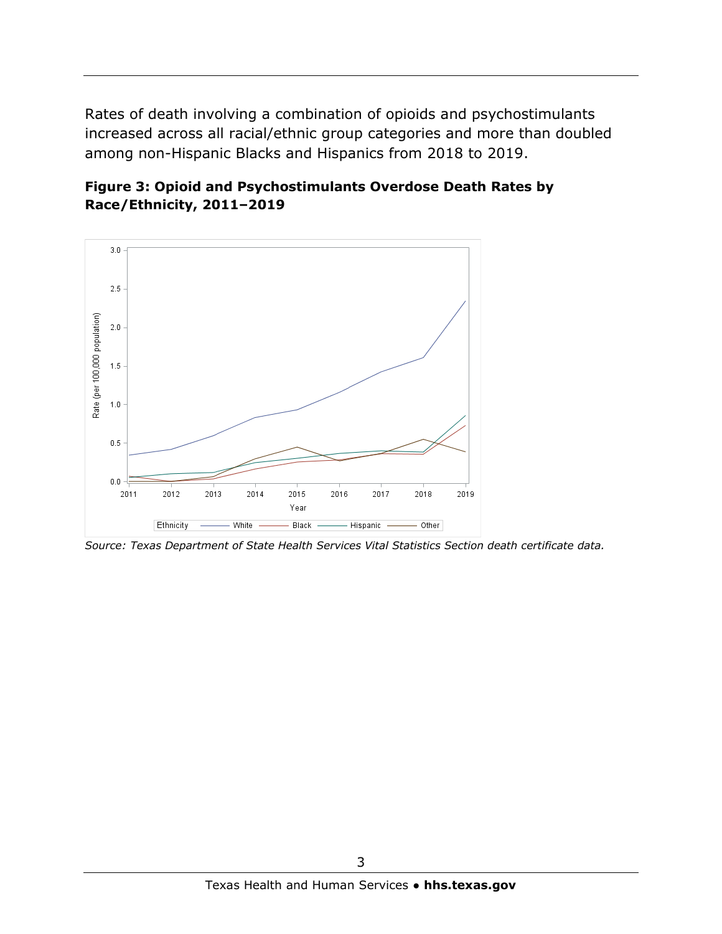Rates of death involving a combination of opioids and psychostimulants increased across all racial/ethnic group categories and more than doubled among non-Hispanic Blacks and Hispanics from 2018 to 2019.





*Source: Texas Department of State Health Services Vital Statistics Section death certificate data.*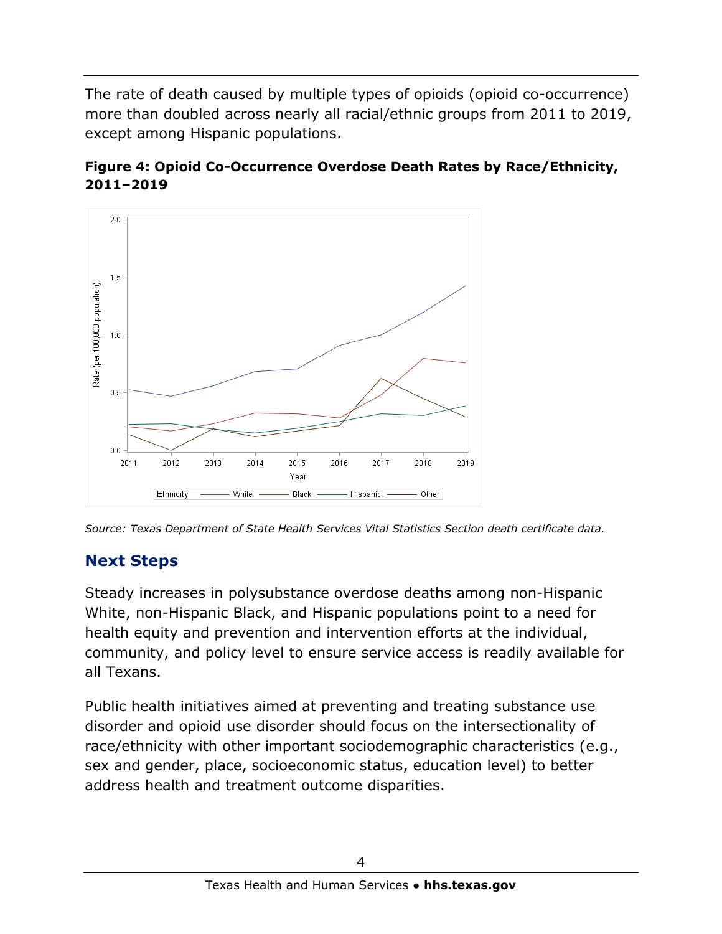The rate of death caused by multiple types of opioids (opioid co-occurrence) more than doubled across nearly all racial/ethnic groups from 2011 to 2019, except among Hispanic populations.





## **Next Steps**

Steady increases in polysubstance overdose deaths among non-Hispanic White, non-Hispanic Black, and Hispanic populations point to a need for health equity and prevention and intervention efforts at the individual, community, and policy level to ensure service access is readily available for all Texans.

Public health initiatives aimed at preventing and treating substance use disorder and opioid use disorder should focus on the intersectionality of race/ethnicity with other important sociodemographic characteristics (e.g., sex and gender, place, socioeconomic status, education level) to better address health and treatment outcome disparities.

*Source: Texas Department of State Health Services Vital Statistics Section death certificate data.*